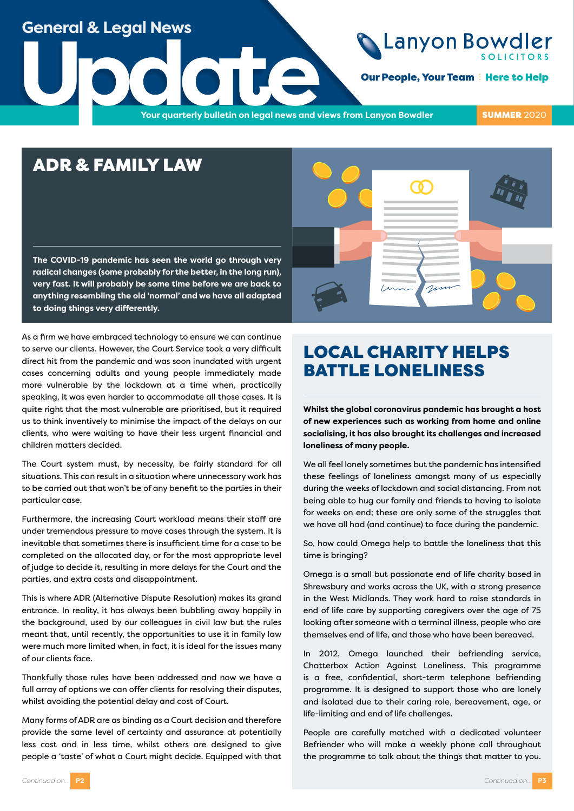### **General & Legal News**

# Lanyon Bowdler

**Our People, Your Team : Here to Help** 

**Update**<br>The Vour quarterly bulletin on legal news and v **Your quarterly bulletin on legal news and views from Lanyon Bowdler**

**SUMMER 2020** 

### ADR & FAMILY LAW

**The COVID-19 pandemic has seen the world go through very radical changes (some probably for the better, in the long run), very fast. It will probably be some time before we are back to anything resembling the old 'normal' and we have all adapted to doing things very differently.**



As a firm we have embraced technology to ensure we can continue to serve our clients. However, the Court Service took a very difficult direct hit from the pandemic and was soon inundated with urgent cases concerning adults and young people immediately made more vulnerable by the lockdown at a time when, practically speaking, it was even harder to accommodate all those cases. It is quite right that the most vulnerable are prioritised, but it required us to think inventively to minimise the impact of the delays on our clients, who were waiting to have their less urgent financial and children matters decided.

The Court system must, by necessity, be fairly standard for all situations. This can result in a situation where unnecessary work has to be carried out that won't be of any benefit to the parties in their particular case.

Furthermore, the increasing Court workload means their staff are under tremendous pressure to move cases through the system. It is inevitable that sometimes there is insufficient time for a case to be completed on the allocated day, or for the most appropriate level of judge to decide it, resulting in more delays for the Court and the parties, and extra costs and disappointment.

This is where ADR (Alternative Dispute Resolution) makes its grand entrance. In reality, it has always been bubbling away happily in the background, used by our colleagues in civil law but the rules meant that, until recently, the opportunities to use it in family law were much more limited when, in fact, it is ideal for the issues many of our clients face.

Thankfully those rules have been addressed and now we have a full array of options we can offer clients for resolving their disputes, whilst avoiding the potential delay and cost of Court.

Many forms of ADR are as binding as a Court decision and therefore provide the same level of certainty and assurance at potentially less cost and in less time, whilst others are designed to give people a 'taste' of what a Court might decide. Equipped with that

# LOCAL CHARITY HELPS BATTLE LONELINESS

**Whilst the global coronavirus pandemic has brought a host of new experiences such as working from home and online socialising, it has also brought its challenges and increased loneliness of many people.** 

We all feel lonely sometimes but the pandemic has intensified these feelings of loneliness amongst many of us especially during the weeks of lockdown and social distancing. From not being able to hug our family and friends to having to isolate for weeks on end; these are only some of the struggles that we have all had (and continue) to face during the pandemic.

So, how could Omega help to battle the loneliness that this time is bringing?

Omega is a small but passionate end of life charity based in Shrewsbury and works across the UK, with a strong presence in the West Midlands. They work hard to raise standards in end of life care by supporting caregivers over the age of 75 looking after someone with a terminal illness, people who are themselves end of life, and those who have been bereaved.

In 2012, Omega launched their befriending service, Chatterbox Action Against Loneliness. This programme is a free, confidential, short-term telephone befriending programme. It is designed to support those who are lonely and isolated due to their caring role, bereavement, age, or life-limiting and end of life challenges.

People are carefully matched with a dedicated volunteer Befriender who will make a weekly phone call throughout the programme to talk about the things that matter to you.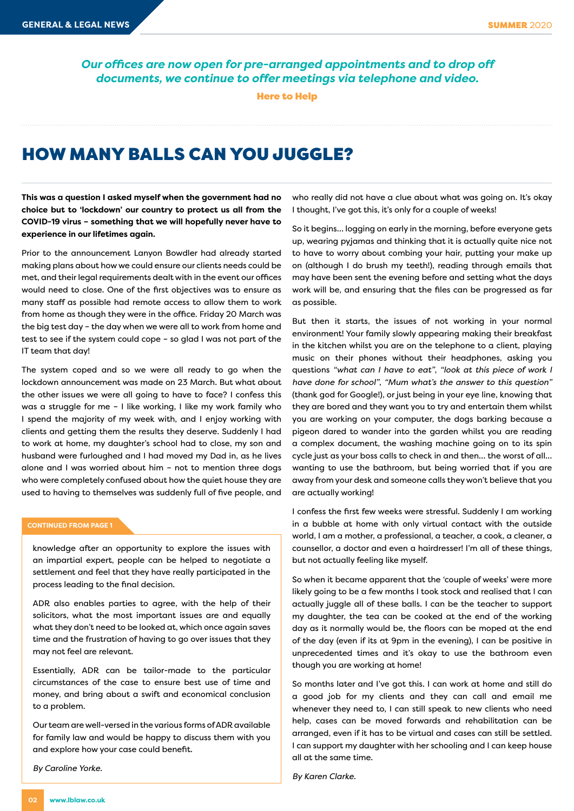*Our offices are now open for pre-arranged appointments and to drop off documents, we continue to offer meetings via telephone and video.*

Here to Help

## HOW MANY BALLS CAN YOU JUGGLE?

**This was a question I asked myself when the government had no choice but to 'lockdown' our country to protect us all from the COVID-19 virus – something that we will hopefully never have to experience in our lifetimes again.** 

Prior to the announcement Lanyon Bowdler had already started making plans about how we could ensure our clients needs could be met, and their legal requirements dealt with in the event our offices would need to close. One of the first objectives was to ensure as many staff as possible had remote access to allow them to work from home as though they were in the office. Friday 20 March was the big test day – the day when we were all to work from home and test to see if the system could cope – so glad I was not part of the IT team that day!

The system coped and so we were all ready to go when the lockdown announcement was made on 23 March. But what about the other issues we were all going to have to face? I confess this was a struggle for me – I like working, I like my work family who I spend the majority of my week with, and I enjoy working with clients and getting them the results they deserve. Suddenly I had to work at home, my daughter's school had to close, my son and husband were furloughed and I had moved my Dad in, as he lives alone and I was worried about him – not to mention three dogs who were completely confused about how the quiet house they are used to having to themselves was suddenly full of five people, and

#### **CONTINUED FROM PAGE 1**

knowledge after an opportunity to explore the issues with an impartial expert, people can be helped to negotiate a settlement and feel that they have really participated in the process leading to the final decision.

ADR also enables parties to agree, with the help of their solicitors, what the most important issues are and equally what they don't need to be looked at, which once again saves time and the frustration of having to go over issues that they may not feel are relevant.

Essentially, ADR can be tailor-made to the particular circumstances of the case to ensure best use of time and money, and bring about a swift and economical conclusion to a problem.

Our team are well-versed in the various forms of ADR available for family law and would be happy to discuss them with you and explore how your case could benefit.

*By Caroline Yorke.*

who really did not have a clue about what was going on. It's okay I thought, I've got this, it's only for a couple of weeks!

So it begins… logging on early in the morning, before everyone gets up, wearing pyjamas and thinking that it is actually quite nice not to have to worry about combing your hair, putting your make up on (although I do brush my teeth!), reading through emails that may have been sent the evening before and setting what the days work will be, and ensuring that the files can be progressed as far as possible.

But then it starts, the issues of not working in your normal environment! Your family slowly appearing making their breakfast in the kitchen whilst you are on the telephone to a client, playing music on their phones without their headphones, asking you questions *"what can I have to eat"*, *"look at this piece of work I have done for school"*, *"Mum what's the answer to this question"* (thank god for Google!), or just being in your eye line, knowing that they are bored and they want you to try and entertain them whilst you are working on your computer, the dogs barking because a pigeon dared to wander into the garden whilst you are reading a complex document, the washing machine going on to its spin cycle just as your boss calls to check in and then… the worst of all… wanting to use the bathroom, but being worried that if you are away from your desk and someone calls they won't believe that you are actually working!

I confess the first few weeks were stressful. Suddenly I am working in a bubble at home with only virtual contact with the outside world, I am a mother, a professional, a teacher, a cook, a cleaner, a counsellor, a doctor and even a hairdresser! I'm all of these things, but not actually feeling like myself.

So when it became apparent that the 'couple of weeks' were more likely going to be a few months I took stock and realised that I can actually juggle all of these balls. I can be the teacher to support my daughter, the tea can be cooked at the end of the working day as it normally would be, the floors can be moped at the end of the day (even if its at 9pm in the evening), I can be positive in unprecedented times and it's okay to use the bathroom even though you are working at home!

So months later and I've got this. I can work at home and still do a good job for my clients and they can call and email me whenever they need to, I can still speak to new clients who need help, cases can be moved forwards and rehabilitation can be arranged, even if it has to be virtual and cases can still be settled. I can support my daughter with her schooling and I can keep house all at the same time.

*By Karen Clarke.*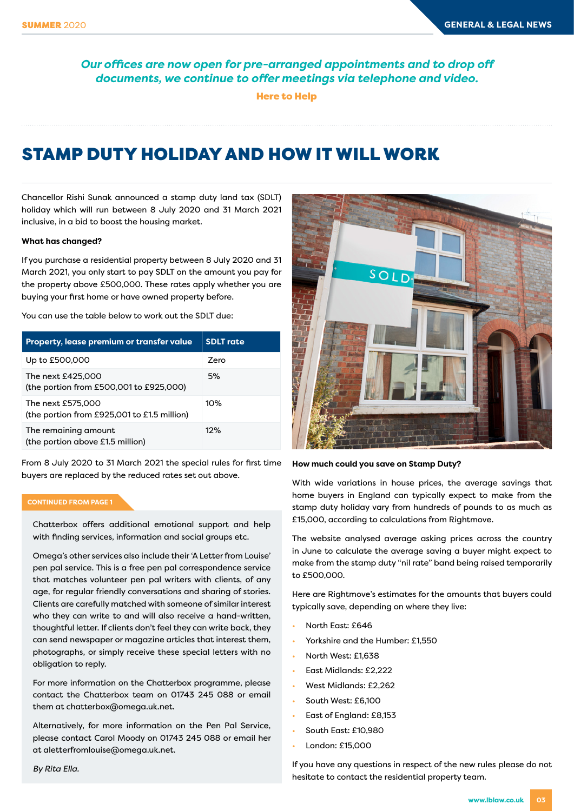*Our offices are now open for pre-arranged appointments and to drop off documents, we continue to offer meetings via telephone and video.*

Here to Help

# STAMP DUTY HOLIDAY AND HOW IT WILL WORK

Chancellor Rishi Sunak announced a stamp duty land tax (SDLT) holiday which will run between 8 July 2020 and 31 March 2021 inclusive, in a bid to boost the housing market.

#### **What has changed?**

If you purchase a residential property between 8 July 2020 and 31 March 2021, you only start to pay SDLT on the amount you pay for the property above £500,000. These rates apply whether you are buying your first home or have owned property before.

You can use the table below to work out the SDLT due:

| Property, lease premium or transfer value                        | <b>SDLT</b> rate |
|------------------------------------------------------------------|------------------|
| Up to £500,000                                                   | Zero             |
| The next £425,000<br>(the portion from £500,001 to £925,000)     | 5%               |
| The next £575,000<br>(the portion from £925,001 to £1.5 million) | 10%              |
| The remaining amount<br>(the portion above £1.5 million)         | 12%              |

From 8 July 2020 to 31 March 2021 the special rules for first time buyers are replaced by the reduced rates set out above.

#### **CONTINUED FROM PAGE 1**

Chatterbox offers additional emotional support and help with finding services, information and social groups etc.

Omega's other services also include their 'A Letter from Louise' pen pal service. This is a free pen pal correspondence service that matches volunteer pen pal writers with clients, of any age, for regular friendly conversations and sharing of stories. Clients are carefully matched with someone of similar interest who they can write to and will also receive a hand-written, thoughtful letter. If clients don't feel they can write back, they can send newspaper or magazine articles that interest them, photographs, or simply receive these special letters with no obligation to reply.

For more information on the Chatterbox programme, please contact the Chatterbox team on 01743 245 088 or email them at chatterbox@omega.uk.net.

Alternatively, for more information on the Pen Pal Service, please contact Carol Moody on 01743 245 088 or email her at aletterfromlouise@omega.uk.net.

*By Rita Ella.*



#### **How much could you save on Stamp Duty?**

With wide variations in house prices, the average savings that home buyers in England can typically expect to make from the stamp duty holiday vary from hundreds of pounds to as much as £15,000, according to calculations from Rightmove.

The website analysed average asking prices across the country in June to calculate the average saving a buyer might expect to make from the stamp duty "nil rate" band being raised temporarily to £500,000.

Here are Rightmove's estimates for the amounts that buyers could typically save, depending on where they live:

- North East: £646
- Yorkshire and the Humber: £1,550
- North West: £1,638
- East Midlands: £2,222
- West Midlands: £2,262
- South West: £6,100
- East of England: £8,153
- South East: £10,980
- London: £15,000

If you have any questions in respect of the new rules please do not hesitate to contact the residential property team.